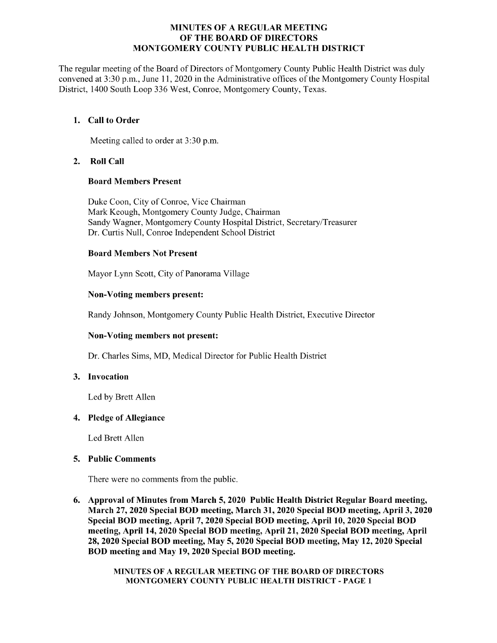#### MINUTES OF A REGULAR MEETING OF THE BOARD OF DIRECTORS MONTGOMERY COUNTY PUBLIC HEALTH DISTRICT

The regular meeting of the Board of Directors of Montgomery County Public Health District was duly convened at 3:30 p.m., June 11, 2020 in the Administrative offices of the Montgomery County Hospital District, 1400 South Loop 336 West, Conroe, Montgomery County, Texas.

# 1. Call to Order

Meeting called to order at 3:30 p.m.

# 2. Roll Call

# Board Members Present

Duke Coon, City of Conroe, Vice Chairman Mark Keough, Montgomery County Judge, Chairman Sandy Wagner, Montgomery County Hospital District, Secretary/Treasurer Dr. Curtis Null, Conroe Independent School District

# Board Members Not Present

Mayor Lynn Scott, City of Panorama Village

# Non-Voting members present:

Randy Johnson, Montgomery County Public Health District, Executive Director

# Non-Voting members not present:

Dr. Charles Sims, MD, Medical Director for Public Health District

#### 3. Invocation

Led by Brett Allen

#### 4. Pledge of Allegiance

Led Brett Allen

#### 5. Public Comments

There were no comments from the public.

6. Approval of Minutes from March 5, 2020 Public Health District Regular Board meeting, March 27, 2020 Special BOD meeting, March 31, 2020 Special BOD meeting, April 3, 2020 Special BOD meeting, April 7, 2020 Special BOD meeting, April 10, 2020 Special BOD meeting, April 14, 2020 Special BOD meeting, April 21, 2020 Special BOD meeting, April 28, 2020 Special BOD meeting, May 5, 2020 Special BOD meeting, May 12, 2020 Special BOD meeting and May 19, 2020 Special BOD meeting.

> MINUTES OF A REGULAR MEETING OF THE BOARD OF DIRECTORS MONTGOMERY COUNTY PUBLIC HEALTH DISTRICT - PAGE 1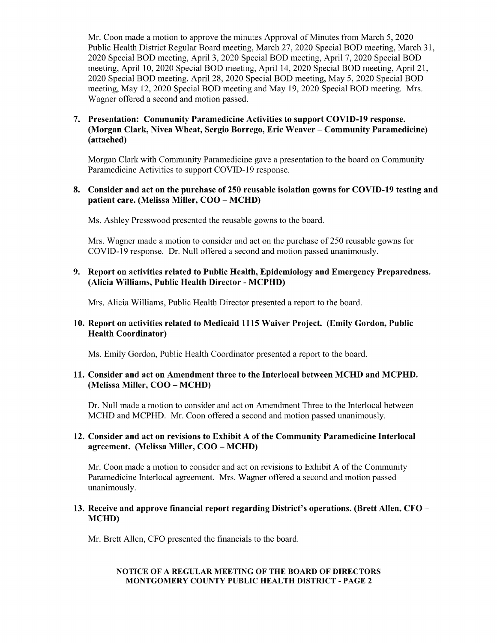Mr. Coon made a motion to approve the minutes Approval of Minutes from March 5, 2020 Public Health District Regular Board meeting, March 27, 2020 Special BOD meeting, March 31, 2020 Special BOD meeting, April 3, 2020 Special BOD meeting, April 7, 2020 Special BOD meeting, April 10, 2020 Special BOD meeting, April 14, 2020 Special BOD meeting, April 21, 2020 Special BOD meeting, April 28, 2020 Special BOD meeting, May 5, 2020 Special BOD meeting, May 12, 2020 Special BOD meeting and May 19, 2020 Special BOD meeting. Mrs. Wagner offered a second and motion passed.

# 7. Presentation: Community Paramedicine Activities to support COVID-19 response. Morgan Clark, Nivea Wheat, Sergio Borrego, Eric Weaver – Community Paramedicine) attached)

Morgan Clark with Community Paramedicine gave a presentation to the board on Community Paramedicine Activities to support COVID-19 response.

## 8. Consider and act on the purchase of 250 reusable isolation gowns for COVID-19 testing and patient care. (Melissa Miller, COO – MCHD)

Ms. Ashley Presswood presented the reusable gowns to the board.

Mrs. Wagner made a motion to consider and act on the purchase of 250 reusable gowns for COVID-19 response. Dr. Null offered a second and motion passed unanimously.

# 9. Report on activities related to Public Health, Epidemiology and Emergency Preparedness. Alicia Williams, Public Health Director - MCPHD)

Mrs. Alicia Williams, Public Health Director presented a report to the board.

# 10. Report on activities related to Medicaid 1115 Waiver Project. (Emily Gordon, Public Health Coordinator)

Ms. Emily Gordon, Public Health Coordinator presented a report to the board.

# 11. Consider and act on Amendment three to the Interlocal between MCHD and MCPHD. Melissa Miller, COO – MCHD)

Dr. Null made a motion to consider and act on Amendment Three to the Interlocal between MCHD and MCPHD. Mr. Coon offered a second and motion passed unanimously.

# 12. Consider and act on revisions to Exhibit A of the Community Paramedicine Interlocal agreement. (Melissa Miller, COO – MCHD)

Mr. Coon made a motion to consider and act on revisions to Exhibit A of the Community Paramedicine Interlocal agreement. Mrs. Wagner offered a second and motion passed unanimously.

#### 13. Receive and approve financial report regarding District's operations. (Brett Allen, CFO – MCHD)

Mr. Brett Allen, CFO presented the financials to the board.

#### NOTICE OF A REGULAR MEETING OF THE BOARD OF DIRECTORS MONTGOMERY COUNTY PUBLIC HEALTH DISTRICT - PAGE 2